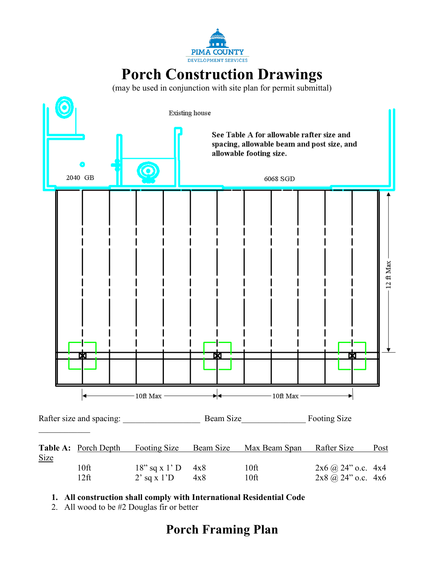

# **Porch Construction Drawings**

(may be used in conjunction with site plan for permit submittal)



**1. All construction shall comply with International Residential Code**

2. All wood to be #2 Douglas fir or better

## **Porch Framing Plan**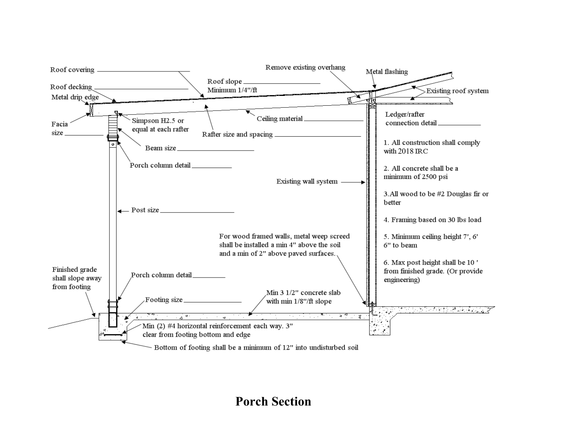

**Porch Section**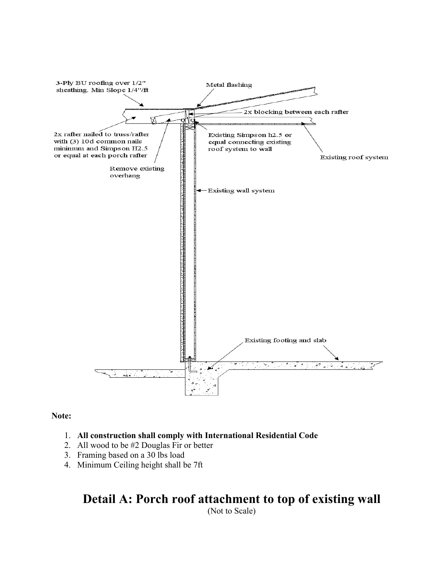

#### **Note:**

#### 1. **All construction shall comply with International Residential Code**

- 2. All wood to be #2 Douglas Fir or better
- 3. Framing based on a 30 lbs load
- 4. Minimum Ceiling height shall be 7ft

## **Detail A: Porch roof attachment to top of existing wall**

(Not to Scale)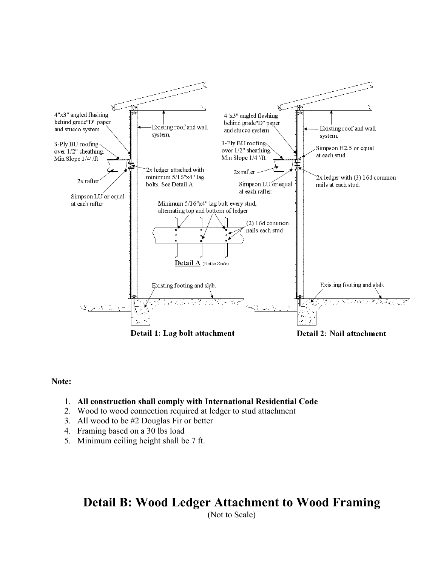

#### **Note:**

#### 1. **All construction shall comply with International Residential Code**

- 2. Wood to wood connection required at ledger to stud attachment
- 3. All wood to be #2 Douglas Fir or better
- 4. Framing based on a 30 lbs load
- 5. Minimum ceiling height shall be 7 ft.

## **Detail B: Wood Ledger Attachment to Wood Framing**

(Not to Scale)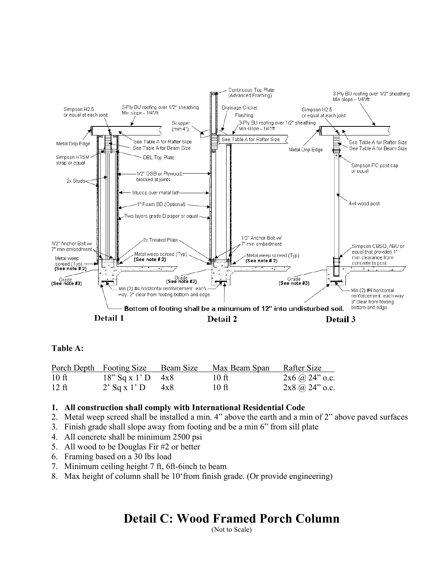

#### **Table A:**

|         | Porch Depth Footing Size Beam Size |     | Max Beam Span Rafter Size |                       |
|---------|------------------------------------|-----|---------------------------|-----------------------|
| $10$ ft | $18''$ Sq x 1' D 4x8               |     | $10$ ft                   | $2x6$ (a) $24$ " o.c. |
| $12$ ft | $2'$ Sq x 1' D                     | 4x8 | $10$ ft                   | $2x8$ (a) $24$ " o.c. |

#### **1. All construction shall comply with International Residential Code**

- 2. Metal weep screed shall be installed a min. 4" above the earth and a min of 2" above paved surfaces
- 3. Finish grade shall slope away from footing and be a min 6" from sill plate
- 4. All concrete shall be minimum 2500 psi
- 5. All wood to be Douglas Fir #2 or better
- 6. Framing based on a 30 lbs load
- 7. Minimum ceiling height 7 ft, 6ft-6inch to beam
- 8. Max height of column shall be 10'from finish grade. (Or provide engineering)

## **Detail C: Wood Framed Porch Column**

(Not to Scale)